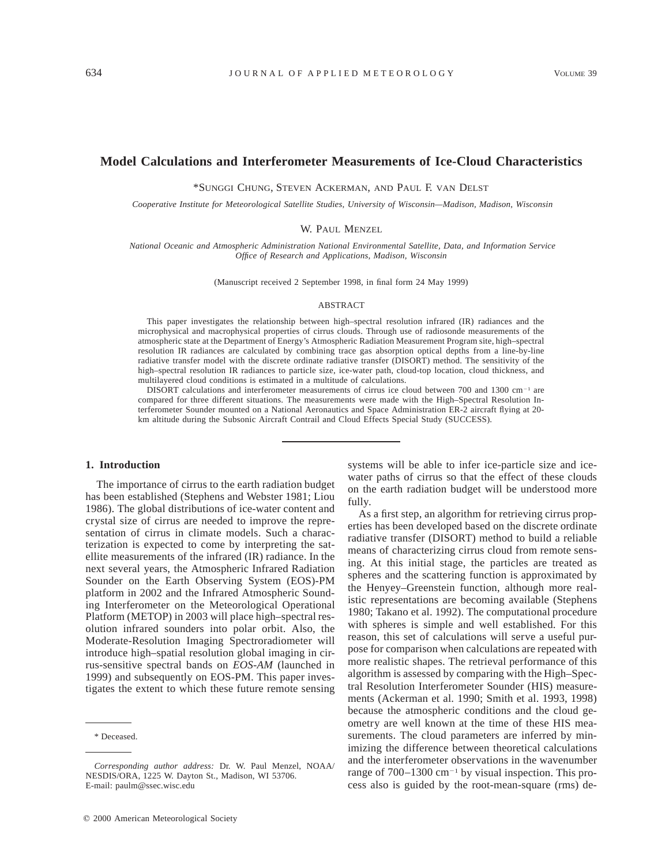# **Model Calculations and Interferometer Measurements of Ice-Cloud Characteristics**

\*SUNGGI CHUNG, STEVEN ACKERMAN, AND PAUL F. VAN DELST

*Cooperative Institute for Meteorological Satellite Studies, University of Wisconsin—Madison, Madison, Wisconsin*

W. PAUL MENZEL

*National Oceanic and Atmospheric Administration National Environmental Satellite, Data, and Information Service Office of Research and Applications, Madison, Wisconsin*

(Manuscript received 2 September 1998, in final form 24 May 1999)

### ABSTRACT

This paper investigates the relationship between high–spectral resolution infrared (IR) radiances and the microphysical and macrophysical properties of cirrus clouds. Through use of radiosonde measurements of the atmospheric state at the Department of Energy's Atmospheric Radiation Measurement Program site, high–spectral resolution IR radiances are calculated by combining trace gas absorption optical depths from a line-by-line radiative transfer model with the discrete ordinate radiative transfer (DISORT) method. The sensitivity of the high–spectral resolution IR radiances to particle size, ice-water path, cloud-top location, cloud thickness, and multilayered cloud conditions is estimated in a multitude of calculations.

DISORT calculations and interferometer measurements of cirrus ice cloud between 700 and 1300 cm<sup>-1</sup> are compared for three different situations. The measurements were made with the High–Spectral Resolution Interferometer Sounder mounted on a National Aeronautics and Space Administration ER-2 aircraft flying at 20 km altitude during the Subsonic Aircraft Contrail and Cloud Effects Special Study (SUCCESS).

## **1. Introduction**

The importance of cirrus to the earth radiation budget has been established (Stephens and Webster 1981; Liou 1986). The global distributions of ice-water content and crystal size of cirrus are needed to improve the representation of cirrus in climate models. Such a characterization is expected to come by interpreting the satellite measurements of the infrared (IR) radiance. In the next several years, the Atmospheric Infrared Radiation Sounder on the Earth Observing System (EOS)-PM platform in 2002 and the Infrared Atmospheric Sounding Interferometer on the Meteorological Operational Platform (METOP) in 2003 will place high–spectral resolution infrared sounders into polar orbit. Also, the Moderate-Resolution Imaging Spectroradiometer will introduce high–spatial resolution global imaging in cirrus-sensitive spectral bands on *EOS-AM* (launched in 1999) and subsequently on EOS-PM. This paper investigates the extent to which these future remote sensing

systems will be able to infer ice-particle size and icewater paths of cirrus so that the effect of these clouds on the earth radiation budget will be understood more fully.

As a first step, an algorithm for retrieving cirrus properties has been developed based on the discrete ordinate radiative transfer (DISORT) method to build a reliable means of characterizing cirrus cloud from remote sensing. At this initial stage, the particles are treated as spheres and the scattering function is approximated by the Henyey–Greenstein function, although more realistic representations are becoming available (Stephens 1980; Takano et al. 1992). The computational procedure with spheres is simple and well established. For this reason, this set of calculations will serve a useful purpose for comparison when calculations are repeated with more realistic shapes. The retrieval performance of this algorithm is assessed by comparing with the High–Spectral Resolution Interferometer Sounder (HIS) measurements (Ackerman et al. 1990; Smith et al. 1993, 1998) because the atmospheric conditions and the cloud geometry are well known at the time of these HIS measurements. The cloud parameters are inferred by minimizing the difference between theoretical calculations and the interferometer observations in the wavenumber range of  $700-1300$  cm<sup>-1</sup> by visual inspection. This process also is guided by the root-mean-square (rms) de-

<sup>\*</sup> Deceased.

*Corresponding author address:* Dr. W. Paul Menzel, NOAA/ NESDIS/ORA, 1225 W. Dayton St., Madison, WI 53706. E-mail: paulm@ssec.wisc.edu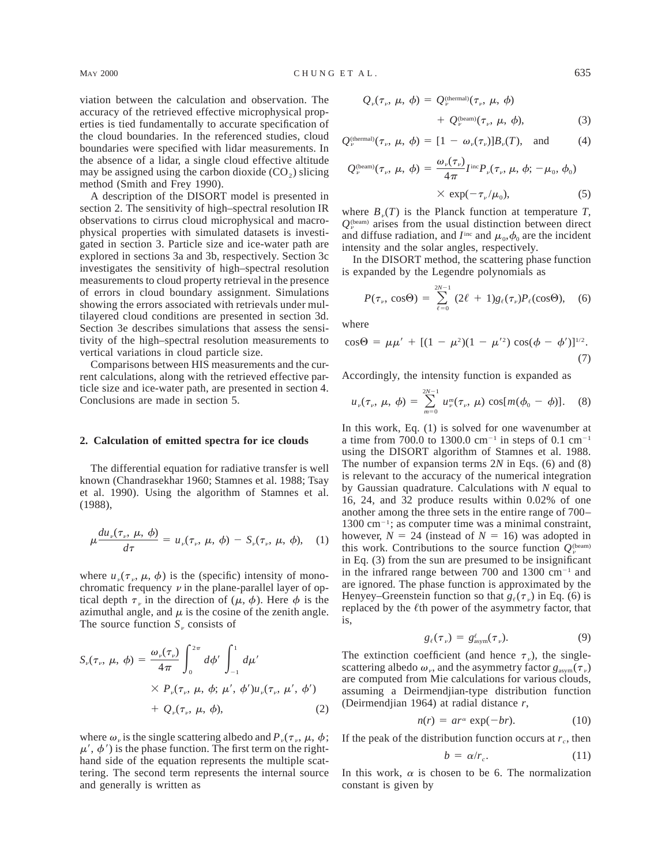viation between the calculation and observation. The accuracy of the retrieved effective microphysical properties is tied fundamentally to accurate specification of the cloud boundaries. In the referenced studies, cloud boundaries were specified with lidar measurements. In the absence of a lidar, a single cloud effective altitude may be assigned using the carbon dioxide  $(CO<sub>2</sub>)$  slicing method (Smith and Frey 1990).

A description of the DISORT model is presented in section 2. The sensitivity of high–spectral resolution IR observations to cirrus cloud microphysical and macrophysical properties with simulated datasets is investigated in section 3. Particle size and ice-water path are explored in sections 3a and 3b, respectively. Section 3c investigates the sensitivity of high–spectral resolution measurements to cloud property retrieval in the presence of errors in cloud boundary assignment. Simulations showing the errors associated with retrievals under multilayered cloud conditions are presented in section 3d. Section 3e describes simulations that assess the sensitivity of the high–spectral resolution measurements to vertical variations in cloud particle size.

Comparisons between HIS measurements and the current calculations, along with the retrieved effective particle size and ice-water path, are presented in section 4. Conclusions are made in section 5.

#### **2. Calculation of emitted spectra for ice clouds**

The differential equation for radiative transfer is well known (Chandrasekhar 1960; Stamnes et al. 1988; Tsay et al. 1990). Using the algorithm of Stamnes et al. (1988),

$$
\mu \frac{du_{\nu}(\tau_{\nu}, \mu, \phi)}{d\tau} = u_{\nu}(\tau_{\nu}, \mu, \phi) - S_{\nu}(\tau_{\nu}, \mu, \phi), \quad (1)
$$

where  $u_{\nu}(\tau_{\nu}, \mu, \phi)$  is the (specific) intensity of monochromatic frequency  $\nu$  in the plane-parallel layer of optical depth  $\tau_{\nu}$  in the direction of ( $\mu$ ,  $\phi$ ). Here  $\phi$  is the azimuthal angle, and  $\mu$  is the cosine of the zenith angle. The source function  $S_p$  consists of

$$
S_{\nu}(\tau_{\nu}, \mu, \phi) = \frac{\omega_{\nu}(\tau_{\nu})}{4\pi} \int_{0}^{2\pi} d\phi' \int_{-1}^{1} d\mu'
$$
  
×  $P_{\nu}(\tau_{\nu}, \mu, \phi; \mu', \phi')u_{\nu}(\tau_{\nu}, \mu', \phi')$   
+  $Q_{\nu}(\tau_{\nu}, \mu, \phi),$  (2)

where  $\omega_{\nu}$  is the single scattering albedo and  $P_{\nu}(\tau_{\nu}, \mu, \phi)$ ;  $\mu'$ ,  $\phi'$ ) is the phase function. The first term on the righthand side of the equation represents the multiple scattering. The second term represents the internal source and generally is written as

$$
Q_{\nu}(\tau_{\nu}, \mu, \phi) = Q_{\nu}^{(\text{thermal})}(\tau_{\nu}, \mu, \phi)
$$

$$
+ Q_{\nu}^{(\text{beam})}(\tau_{\nu}, \mu, \phi), \qquad (3)
$$

$$
Q_{\nu}^{(\text{thermal})}(\tau_{\nu}, \mu, \phi) = [1 - \omega_{\nu}(\tau_{\nu})]B_{\nu}(T), \text{ and } (4)
$$

$$
Q_{\nu}^{\text{beam}}(\tau_{\nu}, \mu, \phi) = \frac{\omega_{\nu}(\tau_{\nu})}{4\pi} I^{\text{inc}} P_{\nu}(\tau_{\nu}, \mu, \phi; -\mu_{0}, \phi_{0})
$$
  
× exp $(-\tau_{\nu}/\mu_{0}),$  (5)

where  $B_n(T)$  is the Planck function at temperature *T*,  $Q_{\nu}^{(\text{beam})}$  arises from the usual distinction between direct and diffuse radiation, and  $I<sup>inc</sup>$  and  $\mu_0, \phi_0$  are the incident intensity and the solar angles, respectively.

In the DISORT method, the scattering phase function is expanded by the Legendre polynomials as

$$
P(\tau_{\nu}, \cos \Theta) = \sum_{\ell=0}^{2N-1} (2\ell + 1) g_{\ell}(\tau_{\nu}) P_{\ell}(\cos \Theta), \quad (6)
$$

where

$$
\cos \Theta = \mu \mu' + [(1 - \mu^2)(1 - \mu'^2) \cos(\phi - \phi')]^{1/2}.
$$
\n(7)

Accordingly, the intensity function is expanded as

$$
u_{\nu}(\tau_{\nu}, \mu, \phi) = \sum_{m=0}^{2N-1} u_{\nu}^{m}(\tau_{\nu}, \mu) \cos[m(\phi_{0} - \phi)]. \quad (8)
$$

In this work, Eq. (1) is solved for one wavenumber at a time from 700.0 to 1300.0 cm<sup>-1</sup> in steps of 0.1 cm<sup>-1</sup> using the DISORT algorithm of Stamnes et al. 1988. The number of expansion terms 2*N* in Eqs. (6) and (8) is relevant to the accuracy of the numerical integration by Gaussian quadrature. Calculations with *N* equal to 16, 24, and 32 produce results within 0.02% of one another among the three sets in the entire range of 700–  $1300 \text{ cm}^{-1}$ ; as computer time was a minimal constraint, however,  $N = 24$  (instead of  $N = 16$ ) was adopted in this work. Contributions to the source function  $Q_{\nu}^{(\text{beam})}$ in Eq. (3) from the sun are presumed to be insignificant in the infrared range between 700 and 1300  $cm^{-1}$  and are ignored. The phase function is approximated by the Henyey–Greenstein function so that  $g_{\ell}(\tau_n)$  in Eq. (6) is replaced by the  $\ell$ th power of the asymmetry factor, that is,

$$
g_{\ell}(\tau_{\nu}) = g_{\text{asym}}^{\ell}(\tau_{\nu}). \tag{9}
$$

The extinction coefficient (and hence  $\tau_{v}$ ), the singlescattering albedo  $\omega_{\nu}$ , and the asymmetry factor  $g_{\text{asym}}(\tau_{\nu})$ are computed from Mie calculations for various clouds, assuming a Deirmendjian-type distribution function (Deirmendjian 1964) at radial distance *r*,

$$
n(r) = ar^{\alpha} \exp(-br). \tag{10}
$$

If the peak of the distribution function occurs at  $r_c$ , then

$$
b = \alpha/r_c. \tag{11}
$$

In this work,  $\alpha$  is chosen to be 6. The normalization constant is given by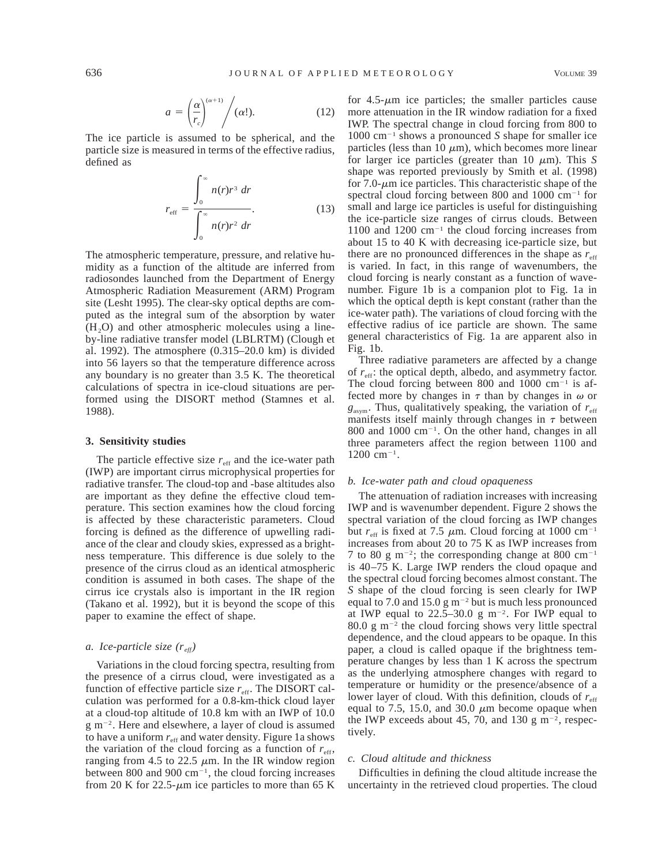$$
a = \left(\frac{\alpha}{r_c}\right)^{(\alpha+1)} / (\alpha!). \tag{12}
$$

The ice particle is assumed to be spherical, and the particle size is measured in terms of the effective radius, defined as

$$
r_{\rm eff} = \frac{\int_0^\infty n(r)r^3 dr}{\int_0^\infty n(r)r^2 dr}.
$$
 (13)

The atmospheric temperature, pressure, and relative humidity as a function of the altitude are inferred from radiosondes launched from the Department of Energy Atmospheric Radiation Measurement (ARM) Program site (Lesht 1995). The clear-sky optical depths are computed as the integral sum of the absorption by water  $(H<sub>2</sub>O)$  and other atmospheric molecules using a lineby-line radiative transfer model (LBLRTM) (Clough et al. 1992). The atmosphere (0.315–20.0 km) is divided into 56 layers so that the temperature difference across any boundary is no greater than 3.5 K. The theoretical calculations of spectra in ice-cloud situations are performed using the DISORT method (Stamnes et al. 1988).

# **3. Sensitivity studies**

The particle effective size  $r_{\text{eff}}$  and the ice-water path (IWP) are important cirrus microphysical properties for radiative transfer. The cloud-top and -base altitudes also are important as they define the effective cloud temperature. This section examines how the cloud forcing is affected by these characteristic parameters. Cloud forcing is defined as the difference of upwelling radiance of the clear and cloudy skies, expressed as a brightness temperature. This difference is due solely to the presence of the cirrus cloud as an identical atmospheric condition is assumed in both cases. The shape of the cirrus ice crystals also is important in the IR region (Takano et al. 1992), but it is beyond the scope of this paper to examine the effect of shape.

# *a. Ice-particle size (r eff)*

Variations in the cloud forcing spectra, resulting from the presence of a cirrus cloud, were investigated as a function of effective particle size  $r_{\text{eff}}$ . The DISORT calculation was performed for a 0.8-km-thick cloud layer at a cloud-top altitude of 10.8 km with an IWP of 10.0 g m22. Here and elsewhere, a layer of cloud is assumed to have a uniform  $r_{\text{eff}}$  and water density. Figure 1a shows the variation of the cloud forcing as a function of  $r_{\text{eff}}$ , ranging from 4.5 to 22.5  $\mu$ m. In the IR window region between 800 and 900  $cm^{-1}$ , the cloud forcing increases from 20 K for 22.5- $\mu$ m ice particles to more than 65 K

for  $4.5-\mu m$  ice particles; the smaller particles cause more attenuation in the IR window radiation for a fixed IWP. The spectral change in cloud forcing from 800 to  $1000 \text{ cm}^{-1}$  shows a pronounced *S* shape for smaller ice particles (less than 10  $\mu$ m), which becomes more linear for larger ice particles (greater than 10  $\mu$ m). This *S* shape was reported previously by Smith et al. (1998) for 7.0- $\mu$ m ice particles. This characteristic shape of the spectral cloud forcing between 800 and 1000  $cm^{-1}$  for small and large ice particles is useful for distinguishing the ice-particle size ranges of cirrus clouds. Between 1100 and 1200  $cm^{-1}$  the cloud forcing increases from about 15 to 40 K with decreasing ice-particle size, but there are no pronounced differences in the shape as  $r_{\text{eff}}$ is varied. In fact, in this range of wavenumbers, the cloud forcing is nearly constant as a function of wavenumber. Figure 1b is a companion plot to Fig. 1a in which the optical depth is kept constant (rather than the ice-water path). The variations of cloud forcing with the effective radius of ice particle are shown. The same general characteristics of Fig. 1a are apparent also in Fig. 1b.

Three radiative parameters are affected by a change of  $r_{\text{eff}}$ : the optical depth, albedo, and asymmetry factor. The cloud forcing between 800 and 1000  $cm^{-1}$  is affected more by changes in  $\tau$  than by changes in  $\omega$  or  $g<sub>asym</sub>$ . Thus, qualitatively speaking, the variation of  $r<sub>eff</sub>$ manifests itself mainly through changes in  $\tau$  between 800 and 1000  $cm^{-1}$ . On the other hand, changes in all three parameters affect the region between 1100 and  $1200 \text{ cm}^{-1}$ .

### *b. Ice-water path and cloud opaqueness*

The attenuation of radiation increases with increasing IWP and is wavenumber dependent. Figure 2 shows the spectral variation of the cloud forcing as IWP changes but  $r_{\text{eff}}$  is fixed at 7.5  $\mu$ m. Cloud forcing at 1000 cm<sup>-1</sup> increases from about 20 to 75 K as IWP increases from 7 to 80 g m<sup>-2</sup>; the corresponding change at 800 cm<sup>-1</sup> is 40–75 K. Large IWP renders the cloud opaque and the spectral cloud forcing becomes almost constant. The *S* shape of the cloud forcing is seen clearly for IWP equal to 7.0 and 15.0 g  $m^{-2}$  but is much less pronounced at IWP equal to  $22.5-30.0 \text{ g m}^{-2}$ . For IWP equal to 80.0 g  $m^{-2}$  the cloud forcing shows very little spectral dependence, and the cloud appears to be opaque. In this paper, a cloud is called opaque if the brightness temperature changes by less than 1 K across the spectrum as the underlying atmosphere changes with regard to temperature or humidity or the presence/absence of a lower layer of cloud. With this definition, clouds of  $r_{\text{eff}}$ equal to 7.5, 15.0, and 30.0  $\mu$ m become opaque when the IWP exceeds about 45, 70, and 130 g  $m^{-2}$ , respectively.

## *c. Cloud altitude and thickness*

Difficulties in defining the cloud altitude increase the uncertainty in the retrieved cloud properties. The cloud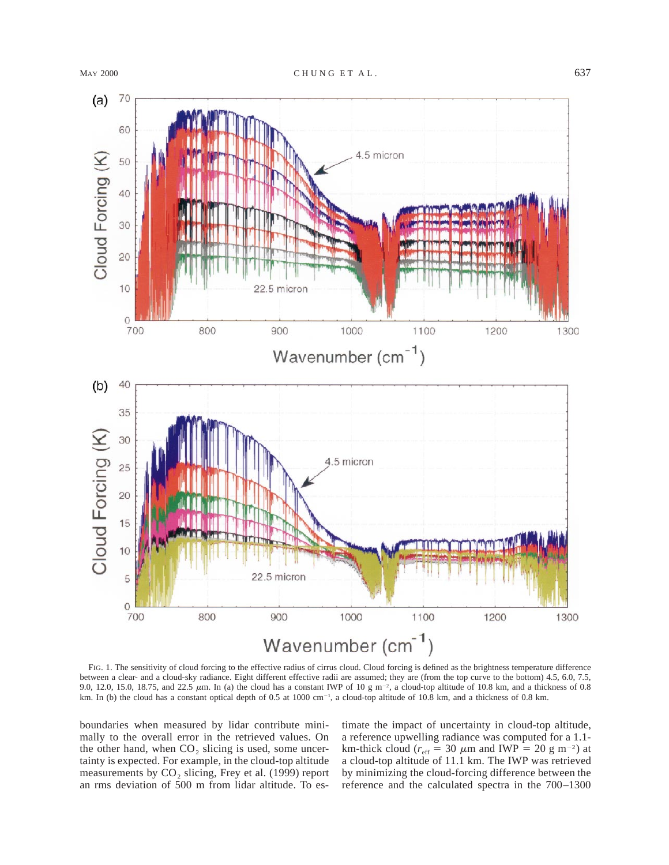

FIG. 1. The sensitivity of cloud forcing to the effective radius of cirrus cloud. Cloud forcing is defined as the brightness temperature difference between a clear- and a cloud-sky radiance. Eight different effective radii are assumed; they are (from the top curve to the bottom) 4.5, 6.0, 7.5, 9.0, 12.0, 15.0, 18.75, and 22.5  $\mu$ m. In (a) the cloud has a constant IWP of 10 g m<sup>-2</sup>, a cloud-top altitude of 10.8 km, and a thickness of 0.8 km. In (b) the cloud has a constant optical depth of 0.5 at 1000 cm<sup>-1</sup>, a cloud-top altitude of 10.8 km, and a thickness of 0.8 km.

boundaries when measured by lidar contribute minimally to the overall error in the retrieved values. On the other hand, when  $CO<sub>2</sub>$  slicing is used, some uncertainty is expected. For example, in the cloud-top altitude measurements by  $CO<sub>2</sub>$  slicing, Frey et al. (1999) report an rms deviation of 500 m from lidar altitude. To estimate the impact of uncertainty in cloud-top altitude, a reference upwelling radiance was computed for a 1.1 km-thick cloud ( $r_{\text{eff}}$  = 30  $\mu$ m and IWP = 20 g m<sup>-2</sup>) at a cloud-top altitude of 11.1 km. The IWP was retrieved by minimizing the cloud-forcing difference between the reference and the calculated spectra in the 700–1300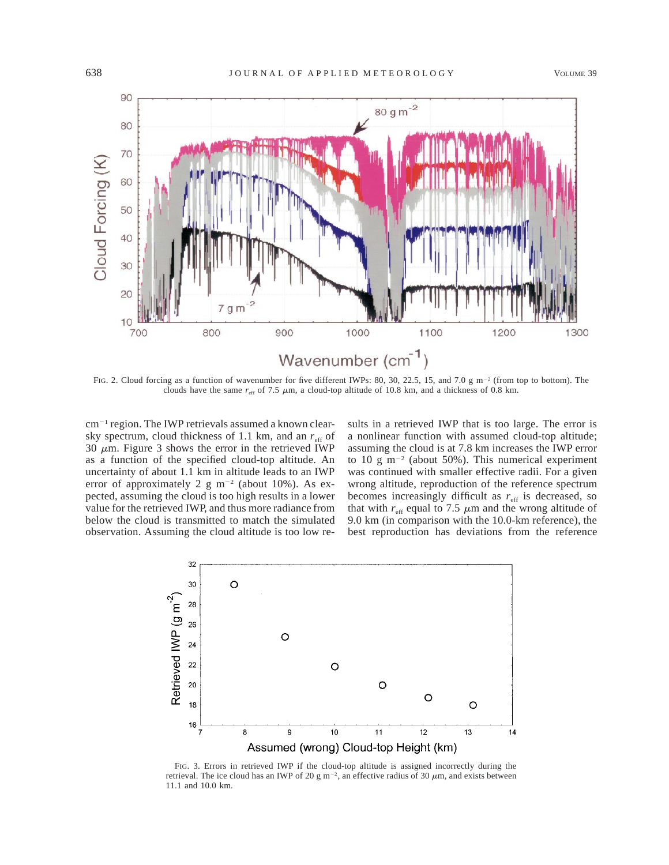

FIG. 2. Cloud forcing as a function of wavenumber for five different IWPs: 80, 30, 22.5, 15, and 7.0 g m<sup>-2</sup> (from top to bottom). The clouds have the same  $r_{\text{eff}}$  of 7.5  $\mu$ m, a cloud-top altitude of 10.8 km, and a thickness of 0.8 km.

 $cm^{-1}$  region. The IWP retrievals assumed a known clearsky spectrum, cloud thickness of 1.1 km, and an  $r_{\text{eff}}$  of 30  $\mu$ m. Figure 3 shows the error in the retrieved IWP as a function of the specified cloud-top altitude. An uncertainty of about 1.1 km in altitude leads to an IWP error of approximately 2 g  $m^{-2}$  (about 10%). As expected, assuming the cloud is too high results in a lower value for the retrieved IWP, and thus more radiance from below the cloud is transmitted to match the simulated observation. Assuming the cloud altitude is too low results in a retrieved IWP that is too large. The error is a nonlinear function with assumed cloud-top altitude; assuming the cloud is at 7.8 km increases the IWP error to 10 g m<sup>-2</sup> (about 50%). This numerical experiment was continued with smaller effective radii. For a given wrong altitude, reproduction of the reference spectrum becomes increasingly difficult as  $r_{\text{eff}}$  is decreased, so that with  $r_{\text{eff}}$  equal to 7.5  $\mu$ m and the wrong altitude of 9.0 km (in comparison with the 10.0-km reference), the best reproduction has deviations from the reference



FIG. 3. Errors in retrieved IWP if the cloud-top altitude is assigned incorrectly during the retrieval. The ice cloud has an IWP of 20 g m<sup>-2</sup>, an effective radius of 30  $\mu$ m, and exists between 11.1 and 10.0 km.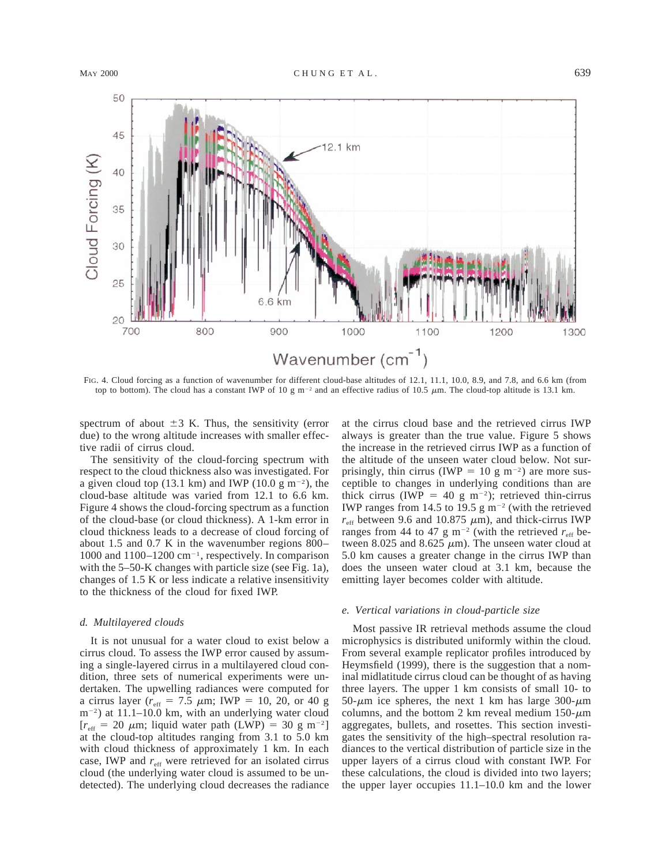

FIG. 4. Cloud forcing as a function of wavenumber for different cloud-base altitudes of 12.1, 11.1, 10.0, 8.9, and 7.8, and 6.6 km (from top to bottom). The cloud has a constant IWP of 10 g m<sup>-2</sup> and an effective radius of 10.5  $\mu$ m. The cloud-top altitude is 13.1 km.

spectrum of about  $\pm 3$  K. Thus, the sensitivity (error due) to the wrong altitude increases with smaller effective radii of cirrus cloud.

The sensitivity of the cloud-forcing spectrum with respect to the cloud thickness also was investigated. For a given cloud top (13.1 km) and IWP (10.0 g m<sup>-2</sup>), the cloud-base altitude was varied from 12.1 to 6.6 km. Figure 4 shows the cloud-forcing spectrum as a function of the cloud-base (or cloud thickness). A 1-km error in cloud thickness leads to a decrease of cloud forcing of about 1.5 and 0.7 K in the wavenumber regions 800– 1000 and  $1100-1200$  cm<sup>-1</sup>, respectively. In comparison with the 5–50-K changes with particle size (see Fig. 1a), changes of 1.5 K or less indicate a relative insensitivity to the thickness of the cloud for fixed IWP.

#### *d. Multilayered clouds*

It is not unusual for a water cloud to exist below a cirrus cloud. To assess the IWP error caused by assuming a single-layered cirrus in a multilayered cloud condition, three sets of numerical experiments were undertaken. The upwelling radiances were computed for a cirrus layer ( $r_{\text{eff}}$  = 7.5  $\mu$ m; IWP = 10, 20, or 40 g  $m^{-2}$ ) at 11.1–10.0 km, with an underlying water cloud  $[r<sub>eff</sub> = 20 \mu m;$  liquid water path (LWP) = 30 g m<sup>-2</sup>] at the cloud-top altitudes ranging from 3.1 to 5.0 km with cloud thickness of approximately 1 km. In each case, IWP and  $r_{\text{eff}}$  were retrieved for an isolated cirrus cloud (the underlying water cloud is assumed to be undetected). The underlying cloud decreases the radiance at the cirrus cloud base and the retrieved cirrus IWP always is greater than the true value. Figure 5 shows the increase in the retrieved cirrus IWP as a function of the altitude of the unseen water cloud below. Not surprisingly, thin cirrus (IWP = 10 g m<sup>-2</sup>) are more susceptible to changes in underlying conditions than are thick cirrus (IWP = 40 g m<sup>-2</sup>); retrieved thin-cirrus IWP ranges from 14.5 to 19.5 g  $m^{-2}$  (with the retrieved  $r_{\text{eff}}$  between 9.6 and 10.875  $\mu$ m), and thick-cirrus IWP ranges from 44 to 47 g m<sup>-2</sup> (with the retrieved  $r_{\text{eff}}$  between 8.025 and 8.625  $\mu$ m). The unseen water cloud at 5.0 km causes a greater change in the cirrus IWP than does the unseen water cloud at 3.1 km, because the emitting layer becomes colder with altitude.

#### *e. Vertical variations in cloud-particle size*

Most passive IR retrieval methods assume the cloud microphysics is distributed uniformly within the cloud. From several example replicator profiles introduced by Heymsfield (1999), there is the suggestion that a nominal midlatitude cirrus cloud can be thought of as having three layers. The upper 1 km consists of small 10- to 50- $\mu$ m ice spheres, the next 1 km has large 300- $\mu$ m columns, and the bottom 2 km reveal medium  $150-\mu m$ aggregates, bullets, and rosettes. This section investigates the sensitivity of the high–spectral resolution radiances to the vertical distribution of particle size in the upper layers of a cirrus cloud with constant IWP. For these calculations, the cloud is divided into two layers; the upper layer occupies 11.1–10.0 km and the lower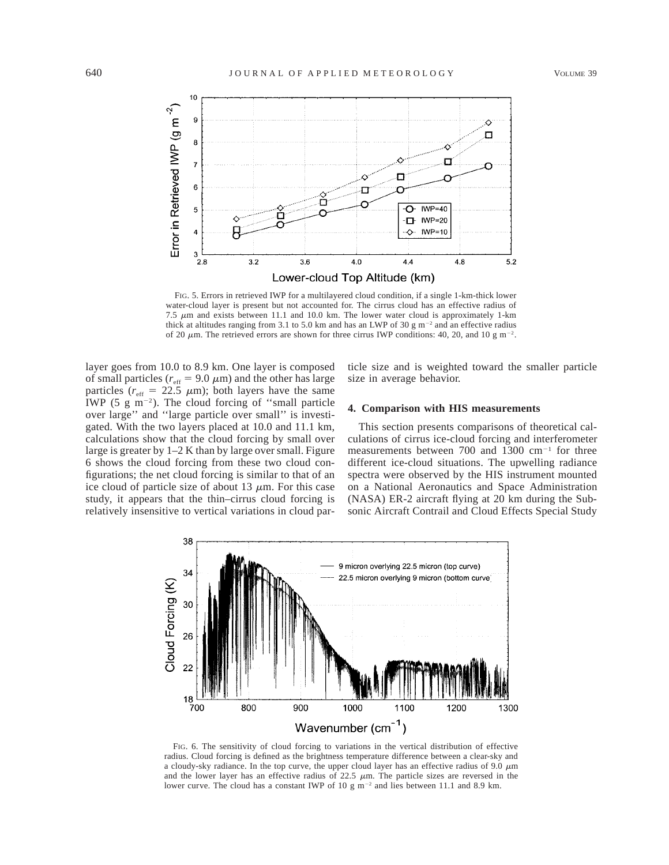

FIG. 5. Errors in retrieved IWP for a multilayered cloud condition, if a single 1-km-thick lower water-cloud layer is present but not accounted for. The cirrus cloud has an effective radius of 7.5  $\mu$ m and exists between 11.1 and 10.0 km. The lower water cloud is approximately 1-km thick at altitudes ranging from 3.1 to 5.0 km and has an LWP of 30 g  $m^{-2}$  and an effective radius of 20  $\mu$ m. The retrieved errors are shown for three cirrus IWP conditions: 40, 20, and 10 g m<sup>-2</sup>.

layer goes from 10.0 to 8.9 km. One layer is composed of small particles ( $r_{\text{eff}}$  = 9.0  $\mu$ m) and the other has large particles ( $r_{\text{eff}}$  = 22.5  $\mu$ m); both layers have the same IWP (5  $\mu$  m<sup>-2</sup>). The cloud forcing of "small particle over large'' and ''large particle over small'' is investigated. With the two layers placed at 10.0 and 11.1 km, calculations show that the cloud forcing by small over large is greater by 1–2 K than by large over small. Figure 6 shows the cloud forcing from these two cloud configurations; the net cloud forcing is similar to that of an ice cloud of particle size of about 13  $\mu$ m. For this case study, it appears that the thin–cirrus cloud forcing is relatively insensitive to vertical variations in cloud particle size and is weighted toward the smaller particle size in average behavior.

## **4. Comparison with HIS measurements**

This section presents comparisons of theoretical calculations of cirrus ice-cloud forcing and interferometer measurements between 700 and 1300  $cm^{-1}$  for three different ice-cloud situations. The upwelling radiance spectra were observed by the HIS instrument mounted on a National Aeronautics and Space Administration (NASA) ER-2 aircraft flying at 20 km during the Subsonic Aircraft Contrail and Cloud Effects Special Study



FIG. 6. The sensitivity of cloud forcing to variations in the vertical distribution of effective radius. Cloud forcing is defined as the brightness temperature difference between a clear-sky and a cloudy-sky radiance. In the top curve, the upper cloud layer has an effective radius of 9.0  $\mu$ m and the lower layer has an effective radius of  $22.5 \mu m$ . The particle sizes are reversed in the lower curve. The cloud has a constant IWP of 10 g  $m^{-2}$  and lies between 11.1 and 8.9 km.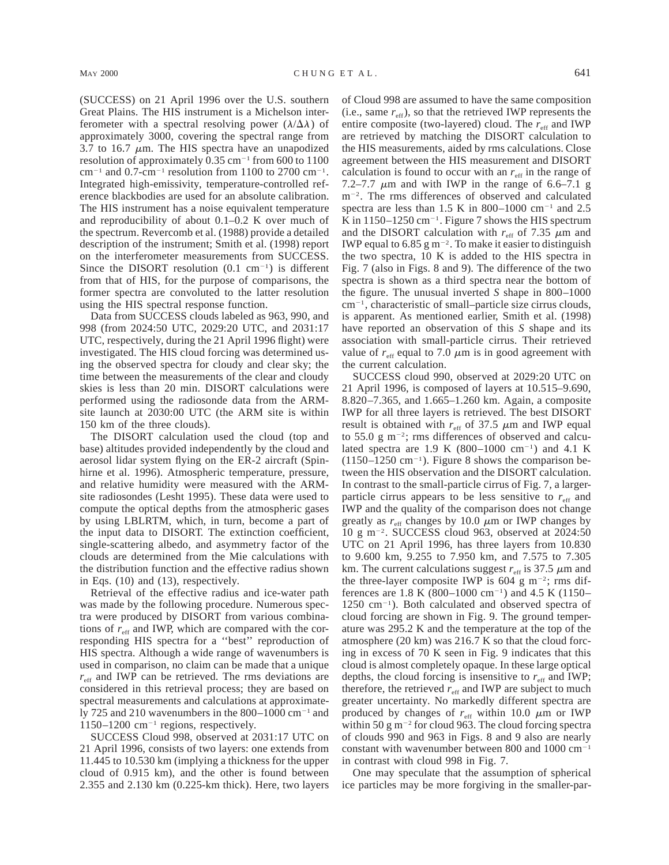(SUCCESS) on 21 April 1996 over the U.S. southern Great Plains. The HIS instrument is a Michelson interferometer with a spectral resolving power  $(\lambda/\Delta\lambda)$  of approximately 3000, covering the spectral range from 3.7 to 16.7  $\mu$ m. The HIS spectra have an unapodized resolution of approximately  $0.35 \text{ cm}^{-1}$  from 600 to 1100  $cm^{-1}$  and 0.7-cm<sup>-1</sup> resolution from 1100 to 2700 cm<sup>-1</sup>. Integrated high-emissivity, temperature-controlled reference blackbodies are used for an absolute calibration. The HIS instrument has a noise equivalent temperature

and reproducibility of about 0.1–0.2 K over much of the spectrum. Revercomb et al. (1988) provide a detailed description of the instrument; Smith et al. (1998) report on the interferometer measurements from SUCCESS. Since the DISORT resolution  $(0.1 \text{ cm}^{-1})$  is different from that of HIS, for the purpose of comparisons, the former spectra are convoluted to the latter resolution using the HIS spectral response function.

Data from SUCCESS clouds labeled as 963, 990, and 998 (from 2024:50 UTC, 2029:20 UTC, and 2031:17 UTC, respectively, during the 21 April 1996 flight) were investigated. The HIS cloud forcing was determined using the observed spectra for cloudy and clear sky; the time between the measurements of the clear and cloudy skies is less than 20 min. DISORT calculations were performed using the radiosonde data from the ARMsite launch at 2030:00 UTC (the ARM site is within 150 km of the three clouds).

The DISORT calculation used the cloud (top and base) altitudes provided independently by the cloud and aerosol lidar system flying on the ER-2 aircraft (Spinhirne et al. 1996). Atmospheric temperature, pressure, and relative humidity were measured with the ARMsite radiosondes (Lesht 1995). These data were used to compute the optical depths from the atmospheric gases by using LBLRTM, which, in turn, become a part of the input data to DISORT. The extinction coefficient, single-scattering albedo, and asymmetry factor of the clouds are determined from the Mie calculations with the distribution function and the effective radius shown in Eqs. (10) and (13), respectively.

Retrieval of the effective radius and ice-water path was made by the following procedure. Numerous spectra were produced by DISORT from various combinations of  $r_{\text{eff}}$  and IWP, which are compared with the corresponding HIS spectra for a ''best'' reproduction of HIS spectra. Although a wide range of wavenumbers is used in comparison, no claim can be made that a unique  $r_{\text{eff}}$  and IWP can be retrieved. The rms deviations are considered in this retrieval process; they are based on spectral measurements and calculations at approximately 725 and 210 wavenumbers in the 800–1000 cm<sup>-1</sup> and  $1150-1200$  cm<sup>-1</sup> regions, respectively.

SUCCESS Cloud 998, observed at 2031:17 UTC on 21 April 1996, consists of two layers: one extends from 11.445 to 10.530 km (implying a thickness for the upper cloud of 0.915 km), and the other is found between 2.355 and 2.130 km (0.225-km thick). Here, two layers of Cloud 998 are assumed to have the same composition (i.e., same  $r_{\text{eff}}$ ), so that the retrieved IWP represents the entire composite (two-layered) cloud. The  $r_{\text{eff}}$  and IWP are retrieved by matching the DISORT calculation to the HIS measurements, aided by rms calculations. Close agreement between the HIS measurement and DISORT calculation is found to occur with an  $r_{\text{eff}}$  in the range of 7.2–7.7  $\mu$ m and with IWP in the range of 6.6–7.1 g m<sup>-2</sup>. The rms differences of observed and calculated spectra are less than 1.5 K in 800–1000 cm<sup>-1</sup> and 2.5 K in  $1150-1250$  cm<sup>-1</sup>. Figure 7 shows the HIS spectrum and the DISORT calculation with  $r_{\text{eff}}$  of 7.35  $\mu$ m and IWP equal to 6.85 g  $m^{-2}$ . To make it easier to distinguish the two spectra, 10 K is added to the HIS spectra in Fig. 7 (also in Figs. 8 and 9). The difference of the two spectra is shown as a third spectra near the bottom of the figure. The unusual inverted *S* shape in 800–1000  $cm<sup>-1</sup>$ , characteristic of small–particle size cirrus clouds, is apparent. As mentioned earlier, Smith et al. (1998) have reported an observation of this *S* shape and its association with small-particle cirrus. Their retrieved value of  $r_{\text{eff}}$  equal to 7.0  $\mu$ m is in good agreement with the current calculation.

SUCCESS cloud 990, observed at 2029:20 UTC on 21 April 1996, is composed of layers at 10.515–9.690, 8.820–7.365, and 1.665–1.260 km. Again, a composite IWP for all three layers is retrieved. The best DISORT result is obtained with  $r_{\text{eff}}$  of 37.5  $\mu$ m and IWP equal to 55.0 g  $m^{-2}$ ; rms differences of observed and calculated spectra are 1.9 K  $(800-1000 \text{ cm}^{-1})$  and 4.1 K  $(1150-1250 \text{ cm}^{-1})$ . Figure 8 shows the comparison between the HIS observation and the DISORT calculation. In contrast to the small-particle cirrus of Fig. 7, a largerparticle cirrus appears to be less sensitive to  $r_{\text{eff}}$  and IWP and the quality of the comparison does not change greatly as  $r_{\text{eff}}$  changes by 10.0  $\mu$ m or IWP changes by  $10 \text{ g m}^{-2}$ . SUCCESS cloud 963, observed at 2024:50 UTC on 21 April 1996, has three layers from 10.830 to 9.600 km, 9.255 to 7.950 km, and 7.575 to 7.305 km. The current calculations suggest  $r_{\text{eff}}$  is 37.5  $\mu$ m and the three-layer composite IWP is 604 g m<sup>-2</sup>; rms differences are 1.8 K (800–1000 cm<sup>-1</sup>) and 4.5 K (1150–  $1250 \text{ cm}^{-1}$ ). Both calculated and observed spectra of cloud forcing are shown in Fig. 9. The ground temperature was 295.2 K and the temperature at the top of the atmosphere (20 km) was 216.7 K so that the cloud forcing in excess of 70 K seen in Fig. 9 indicates that this cloud is almost completely opaque. In these large optical depths, the cloud forcing is insensitive to  $r_{\text{eff}}$  and IWP; therefore, the retrieved  $r_{\text{eff}}$  and IWP are subject to much greater uncertainty. No markedly different spectra are produced by changes of  $r_{\text{eff}}$  within 10.0  $\mu$ m or IWP within 50 g m<sup>-2</sup> for cloud 963. The cloud forcing spectra of clouds 990 and 963 in Figs. 8 and 9 also are nearly constant with wavenumber between 800 and 1000  $cm^{-1}$ in contrast with cloud 998 in Fig. 7.

One may speculate that the assumption of spherical ice particles may be more forgiving in the smaller-par-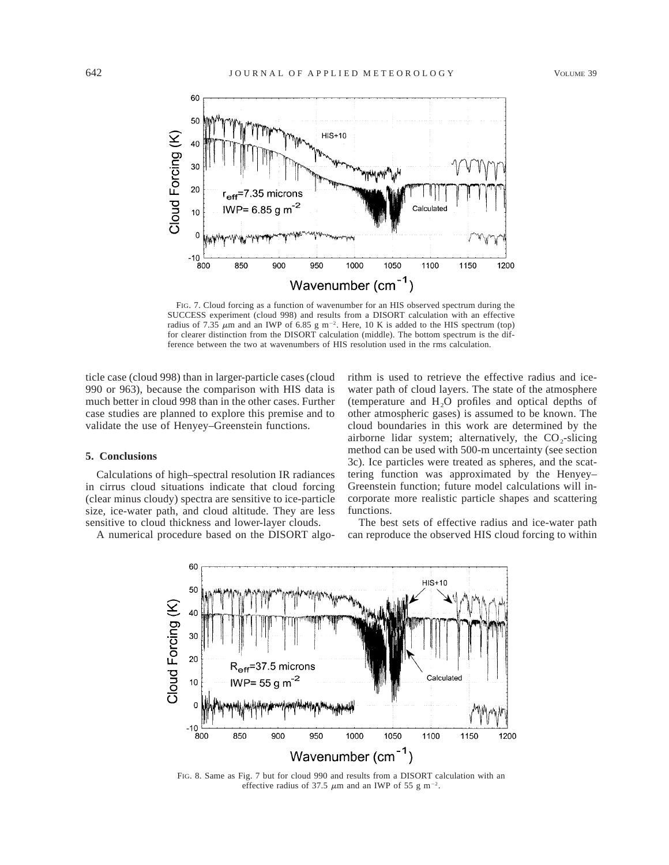

FIG. 7. Cloud forcing as a function of wavenumber for an HIS observed spectrum during the SUCCESS experiment (cloud 998) and results from a DISORT calculation with an effective radius of 7.35  $\mu$ m and an IWP of 6.85 g m<sup>-2</sup>. Here, 10 K is added to the HIS spectrum (top) for clearer distinction from the DISORT calculation (middle). The bottom spectrum is the difference between the two at wavenumbers of HIS resolution used in the rms calculation.

ticle case (cloud 998) than in larger-particle cases (cloud 990 or 963), because the comparison with HIS data is much better in cloud 998 than in the other cases. Further case studies are planned to explore this premise and to validate the use of Henyey–Greenstein functions.

## **5. Conclusions**

Calculations of high–spectral resolution IR radiances in cirrus cloud situations indicate that cloud forcing (clear minus cloudy) spectra are sensitive to ice-particle size, ice-water path, and cloud altitude. They are less sensitive to cloud thickness and lower-layer clouds.

A numerical procedure based on the DISORT algo-

rithm is used to retrieve the effective radius and icewater path of cloud layers. The state of the atmosphere (temperature and  $H_2O$  profiles and optical depths of other atmospheric gases) is assumed to be known. The cloud boundaries in this work are determined by the airborne lidar system; alternatively, the  $CO_2$ -slicing method can be used with 500-m uncertainty (see section 3c). Ice particles were treated as spheres, and the scattering function was approximated by the Henyey– Greenstein function; future model calculations will incorporate more realistic particle shapes and scattering functions.

The best sets of effective radius and ice-water path can reproduce the observed HIS cloud forcing to within



FIG. 8. Same as Fig. 7 but for cloud 990 and results from a DISORT calculation with an effective radius of 37.5  $\mu$ m and an IWP of 55 g m<sup>-2</sup>.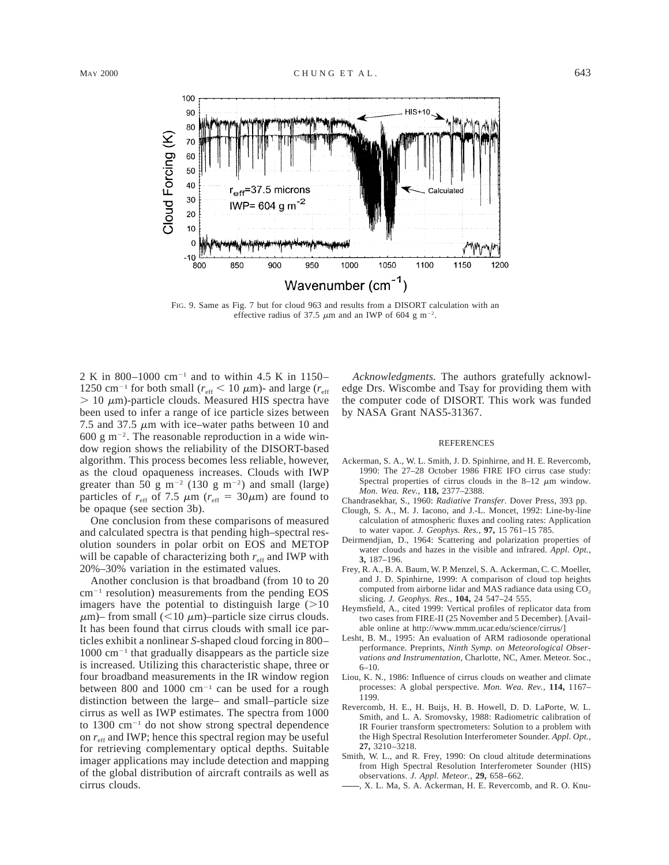

FIG. 9. Same as Fig. 7 but for cloud 963 and results from a DISORT calculation with an effective radius of 37.5  $\mu$ m and an IWP of 604 g m<sup>-2</sup>.

2 K in 800–1000 cm<sup>-1</sup> and to within 4.5 K in 1150– 1250 cm<sup>-1</sup> for both small ( $r_{\text{eff}}$  < 10  $\mu$ m)- and large ( $r_{\text{eff}}$ )  $> 10 \mu$ m)-particle clouds. Measured HIS spectra have been used to infer a range of ice particle sizes between 7.5 and 37.5  $\mu$ m with ice–water paths between 10 and 600 g m<sup>-2</sup>. The reasonable reproduction in a wide window region shows the reliability of the DISORT-based algorithm. This process becomes less reliable, however, as the cloud opaqueness increases. Clouds with IWP greater than 50 g m<sup>-2</sup> (130 g m<sup>-2</sup>) and small (large) particles of  $r_{\text{eff}}$  of 7.5  $\mu$ m ( $r_{\text{eff}} = 30 \mu$ m) are found to be opaque (see section 3b).

One conclusion from these comparisons of measured and calculated spectra is that pending high–spectral resolution sounders in polar orbit on EOS and METOP will be capable of characterizing both  $r_{\text{eff}}$  and IWP with 20%–30% variation in the estimated values.

Another conclusion is that broadband (from 10 to 20  $cm^{-1}$  resolution) measurements from the pending EOS imagers have the potential to distinguish large  $(>10$  $\mu$ m)– from small (<10  $\mu$ m)–particle size cirrus clouds. It has been found that cirrus clouds with small ice particles exhibit a nonlinear *S*-shaped cloud forcing in 800–  $1000 \text{ cm}^{-1}$  that gradually disappears as the particle size is increased. Utilizing this characteristic shape, three or four broadband measurements in the IR window region between 800 and 1000  $cm^{-1}$  can be used for a rough distinction between the large– and small–particle size cirrus as well as IWP estimates. The spectra from 1000 to  $1300 \text{ cm}^{-1}$  do not show strong spectral dependence on  $r_{\text{eff}}$  and IWP; hence this spectral region may be useful for retrieving complementary optical depths. Suitable imager applications may include detection and mapping of the global distribution of aircraft contrails as well as cirrus clouds.

*Acknowledgments.* The authors gratefully acknowledge Drs. Wiscombe and Tsay for providing them with the computer code of DISORT. This work was funded by NASA Grant NAS5-31367.

#### **REFERENCES**

- Ackerman, S. A., W. L. Smith, J. D. Spinhirne, and H. E. Revercomb, 1990: The 27–28 October 1986 FIRE IFO cirrus case study: Spectral properties of cirrus clouds in the  $8-12 \mu m$  window. *Mon. Wea. Rev.,* **118,** 2377–2388.
- Chandrasekhar, S., 1960: *Radiative Transfer.* Dover Press, 393 pp.
- Clough, S. A., M. J. Iacono, and J.-L. Moncet, 1992: Line-by-line calculation of atmospheric fluxes and cooling rates: Application to water vapor. *J. Geophys. Res.,* **97,** 15 761–15 785.
- Deirmendjian, D., 1964: Scattering and polarization properties of water clouds and hazes in the visible and infrared. *Appl. Opt.,* **3,** 187–196.
- Frey, R. A., B. A. Baum, W. P. Menzel, S. A. Ackerman, C. C. Moeller, and J. D. Spinhirne, 1999: A comparison of cloud top heights computed from airborne lidar and MAS radiance data using CO<sub>2</sub> slicing. *J. Geophys. Res.,* **104,** 24 547–24 555.
- Heymsfield, A., cited 1999: Vertical profiles of replicator data from two cases from FIRE-II (25 November and 5 December). [Available online at http://www.mmm.ucar.edu/science/cirrus/]
- Lesht, B. M., 1995: An evaluation of ARM radiosonde operational performance. Preprints, *Ninth Symp. on Meteorological Observations and Instrumentation,* Charlotte, NC, Amer. Meteor. Soc., 6–10.
- Liou, K. N., 1986: Influence of cirrus clouds on weather and climate processes: A global perspective. *Mon. Wea. Rev.,* **114,** 1167– 1199.
- Revercomb, H. E., H. Buijs, H. B. Howell, D. D. LaPorte, W. L. Smith, and L. A. Sromovsky, 1988: Radiometric calibration of IR Fourier transform spectrometers: Solution to a problem with the High Spectral Resolution Interferometer Sounder. *Appl. Opt.,* **27,** 3210–3218.
- Smith, W. L., and R. Frey, 1990: On cloud altitude determinations from High Spectral Resolution Interferometer Sounder (HIS) observations. *J. Appl. Meteor.,* **29,** 658–662.
	- , X. L. Ma, S. A. Ackerman, H. E. Revercomb, and R. O. Knu-